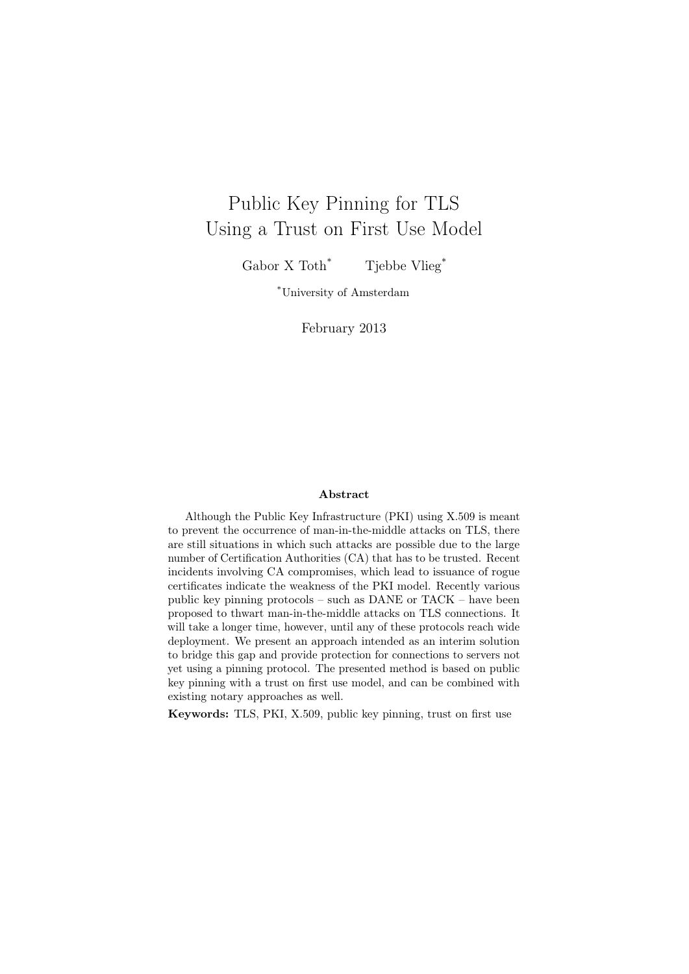# Public Key Pinning for TLS Using a Trust on First Use Model

Gabor X Toth<sup>\*</sup> Tjebbe Vlieg<sup>\*</sup>

\*University of Amsterdam

February 2013

#### Abstract

Although the Public Key Infrastructure (PKI) using X.509 is meant to prevent the occurrence of man-in-the-middle attacks on TLS, there are still situations in which such attacks are possible due to the large number of Certification Authorities (CA) that has to be trusted. Recent incidents involving CA compromises, which lead to issuance of rogue certificates indicate the weakness of the PKI model. Recently various public key pinning protocols – such as DANE or TACK – have been proposed to thwart man-in-the-middle attacks on TLS connections. It will take a longer time, however, until any of these protocols reach wide deployment. We present an approach intended as an interim solution to bridge this gap and provide protection for connections to servers not yet using a pinning protocol. The presented method is based on public key pinning with a trust on first use model, and can be combined with existing notary approaches as well.

Keywords: TLS, PKI, X.509, public key pinning, trust on first use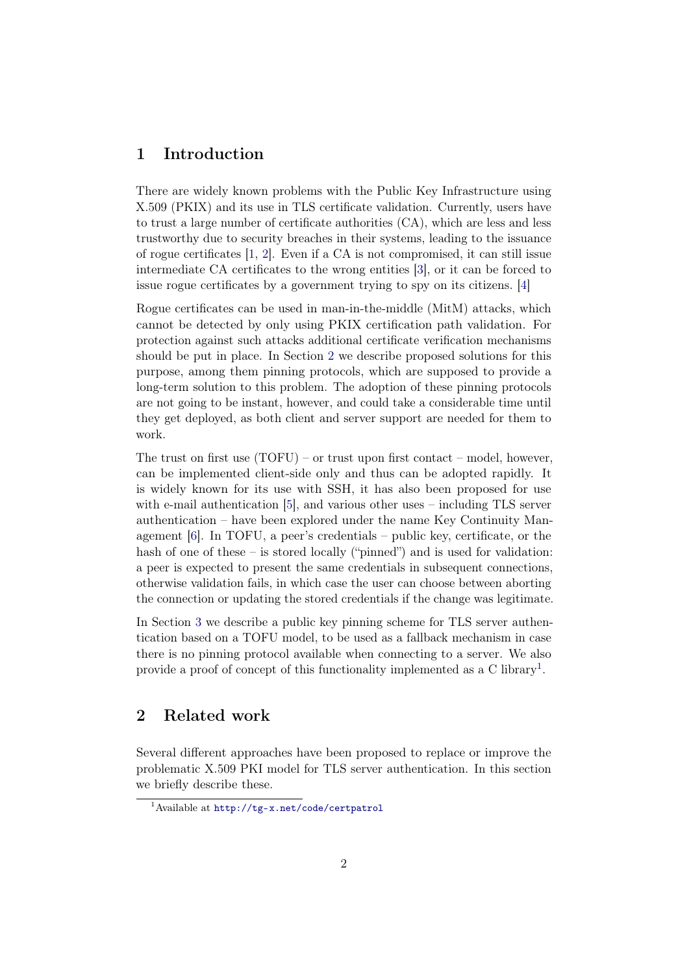# 1 Introduction

There are widely known problems with the Public Key Infrastructure using X.509 (PKIX) and its use in TLS certificate validation. Currently, users have to trust a large number of certificate authorities (CA), which are less and less trustworthy due to security breaches in their systems, leading to the issuance of rogue certificates [\[1,](#page-12-0) [2\]](#page-12-1). Even if a CA is not compromised, it can still issue intermediate CA certificates to the wrong entities [\[3\]](#page-12-2), or it can be forced to issue rogue certificates by a government trying to spy on its citizens. [\[4\]](#page-12-3)

Rogue certificates can be used in man-in-the-middle (MitM) attacks, which cannot be detected by only using PKIX certification path validation. For protection against such attacks additional certificate verification mechanisms should be put in place. In Section [2](#page-1-0) we describe proposed solutions for this purpose, among them pinning protocols, which are supposed to provide a long-term solution to this problem. The adoption of these pinning protocols are not going to be instant, however, and could take a considerable time until they get deployed, as both client and server support are needed for them to work.

The trust on first use  $(TOFU)$  – or trust upon first contact – model, however, can be implemented client-side only and thus can be adopted rapidly. It is widely known for its use with SSH, it has also been proposed for use with e-mail authentication  $[5]$ , and various other uses – including TLS server authentication – have been explored under the name Key Continuity Management [\[6\]](#page-12-5). In TOFU, a peer's credentials – public key, certificate, or the hash of one of these – is stored locally ("pinned") and is used for validation: a peer is expected to present the same credentials in subsequent connections, otherwise validation fails, in which case the user can choose between aborting the connection or updating the stored credentials if the change was legitimate.

In Section [3](#page-4-0) we describe a public key pinning scheme for TLS server authentication based on a TOFU model, to be used as a fallback mechanism in case there is no pinning protocol available when connecting to a server. We also provide a proof of concept of this functionality implemented as a C library<sup>[1](#page-1-1)</sup>.

# <span id="page-1-0"></span>2 Related work

Several different approaches have been proposed to replace or improve the problematic X.509 PKI model for TLS server authentication. In this section we briefly describe these.

<span id="page-1-1"></span><sup>1</sup>Available at <http://tg-x.net/code/certpatrol>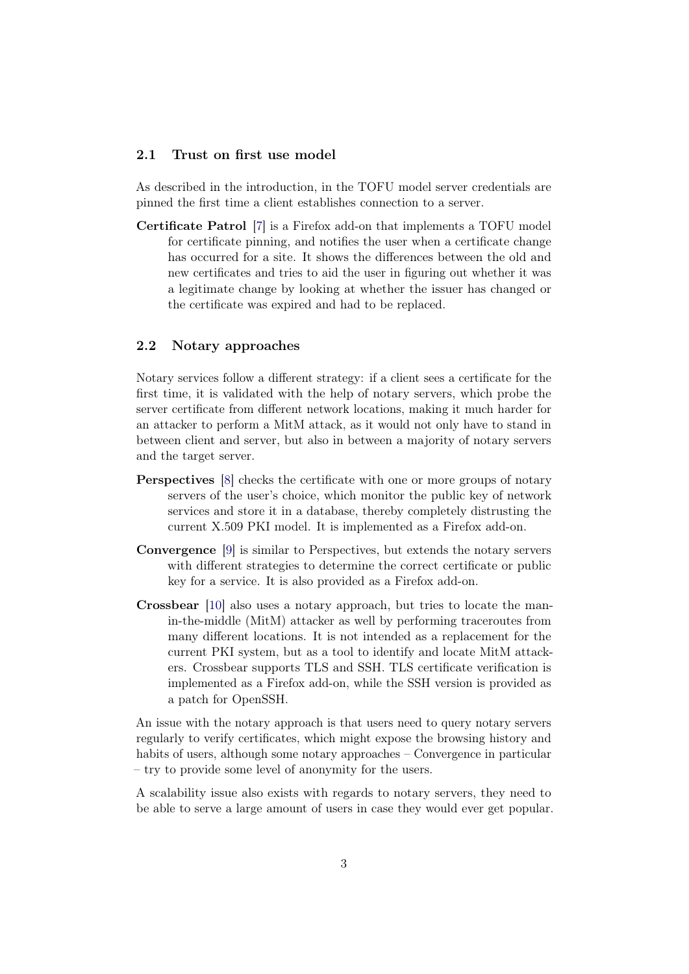### 2.1 Trust on first use model

As described in the introduction, in the TOFU model server credentials are pinned the first time a client establishes connection to a server.

Certificate Patrol [\[7\]](#page-12-6) is a Firefox add-on that implements a TOFU model for certificate pinning, and notifies the user when a certificate change has occurred for a site. It shows the differences between the old and new certificates and tries to aid the user in figuring out whether it was a legitimate change by looking at whether the issuer has changed or the certificate was expired and had to be replaced.

### 2.2 Notary approaches

Notary services follow a different strategy: if a client sees a certificate for the first time, it is validated with the help of notary servers, which probe the server certificate from different network locations, making it much harder for an attacker to perform a MitM attack, as it would not only have to stand in between client and server, but also in between a majority of notary servers and the target server.

- Perspectives [\[8\]](#page-12-7) checks the certificate with one or more groups of notary servers of the user's choice, which monitor the public key of network services and store it in a database, thereby completely distrusting the current X.509 PKI model. It is implemented as a Firefox add-on.
- Convergence [\[9\]](#page-12-8) is similar to Perspectives, but extends the notary servers with different strategies to determine the correct certificate or public key for a service. It is also provided as a Firefox add-on.
- Crossbear [\[10\]](#page-12-9) also uses a notary approach, but tries to locate the manin-the-middle (MitM) attacker as well by performing traceroutes from many different locations. It is not intended as a replacement for the current PKI system, but as a tool to identify and locate MitM attackers. Crossbear supports TLS and SSH. TLS certificate verification is implemented as a Firefox add-on, while the SSH version is provided as a patch for OpenSSH.

An issue with the notary approach is that users need to query notary servers regularly to verify certificates, which might expose the browsing history and habits of users, although some notary approaches – Convergence in particular – try to provide some level of anonymity for the users.

A scalability issue also exists with regards to notary servers, they need to be able to serve a large amount of users in case they would ever get popular.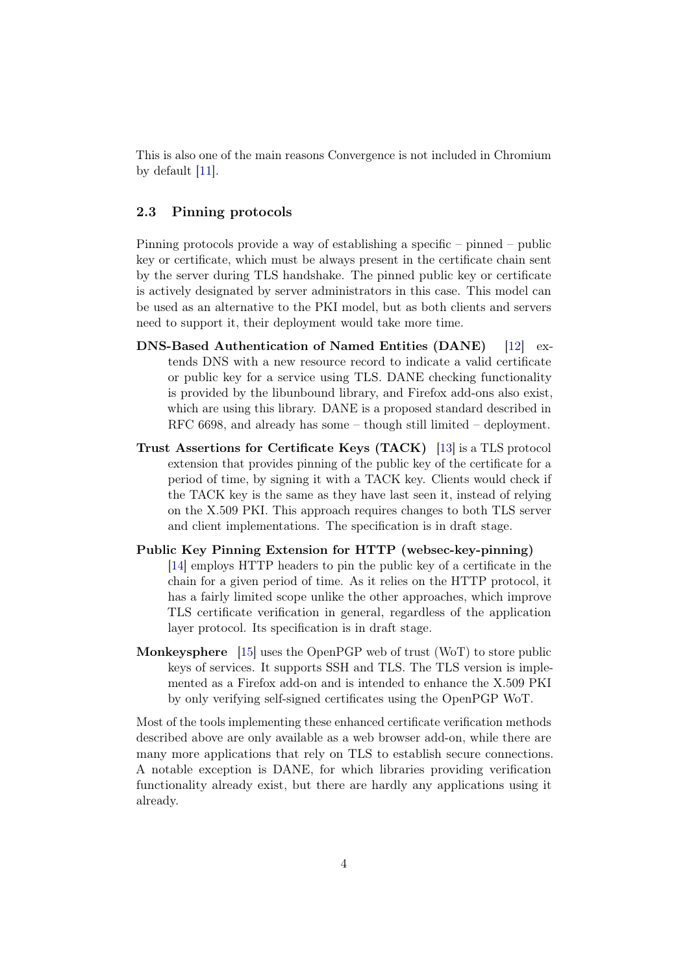This is also one of the main reasons Convergence is not included in Chromium by default [\[11\]](#page-12-10).

# 2.3 Pinning protocols

Pinning protocols provide a way of establishing a specific – pinned – public key or certificate, which must be always present in the certificate chain sent by the server during TLS handshake. The pinned public key or certificate is actively designated by server administrators in this case. This model can be used as an alternative to the PKI model, but as both clients and servers need to support it, their deployment would take more time.

- DNS-Based Authentication of Named Entities (DANE) [\[12\]](#page-12-11) extends DNS with a new resource record to indicate a valid certificate or public key for a service using TLS. DANE checking functionality is provided by the libunbound library, and Firefox add-ons also exist, which are using this library. DANE is a proposed standard described in RFC 6698, and already has some – though still limited – deployment.
- Trust Assertions for Certificate Keys (TACK) [\[13\]](#page-12-12) is a TLS protocol extension that provides pinning of the public key of the certificate for a period of time, by signing it with a TACK key. Clients would check if the TACK key is the same as they have last seen it, instead of relying on the X.509 PKI. This approach requires changes to both TLS server and client implementations. The specification is in draft stage.
- Public Key Pinning Extension for HTTP (websec-key-pinning) [\[14\]](#page-12-13) employs HTTP headers to pin the public key of a certificate in the chain for a given period of time. As it relies on the HTTP protocol, it has a fairly limited scope unlike the other approaches, which improve TLS certificate verification in general, regardless of the application layer protocol. Its specification is in draft stage.
- Monkeysphere [\[15\]](#page-12-14) uses the OpenPGP web of trust (WoT) to store public keys of services. It supports SSH and TLS. The TLS version is implemented as a Firefox add-on and is intended to enhance the X.509 PKI by only verifying self-signed certificates using the OpenPGP WoT.

Most of the tools implementing these enhanced certificate verification methods described above are only available as a web browser add-on, while there are many more applications that rely on TLS to establish secure connections. A notable exception is DANE, for which libraries providing verification functionality already exist, but there are hardly any applications using it already.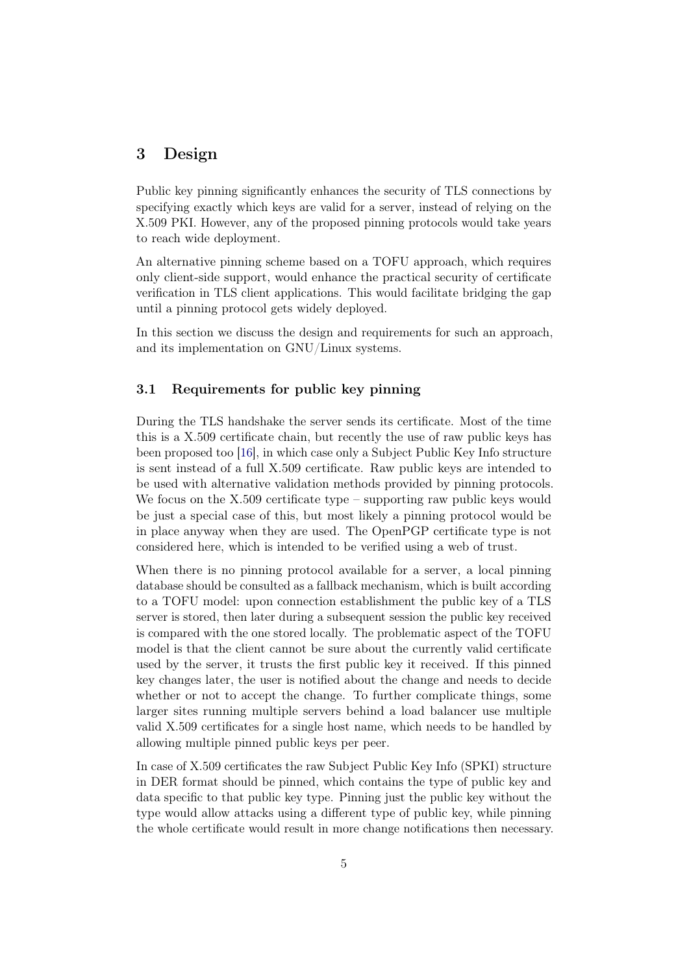# <span id="page-4-0"></span>3 Design

Public key pinning significantly enhances the security of TLS connections by specifying exactly which keys are valid for a server, instead of relying on the X.509 PKI. However, any of the proposed pinning protocols would take years to reach wide deployment.

An alternative pinning scheme based on a TOFU approach, which requires only client-side support, would enhance the practical security of certificate verification in TLS client applications. This would facilitate bridging the gap until a pinning protocol gets widely deployed.

In this section we discuss the design and requirements for such an approach, and its implementation on GNU/Linux systems.

## 3.1 Requirements for public key pinning

During the TLS handshake the server sends its certificate. Most of the time this is a X.509 certificate chain, but recently the use of raw public keys has been proposed too [\[16\]](#page-12-15), in which case only a Subject Public Key Info structure is sent instead of a full X.509 certificate. Raw public keys are intended to be used with alternative validation methods provided by pinning protocols. We focus on the X.509 certificate type – supporting raw public keys would be just a special case of this, but most likely a pinning protocol would be in place anyway when they are used. The OpenPGP certificate type is not considered here, which is intended to be verified using a web of trust.

When there is no pinning protocol available for a server, a local pinning database should be consulted as a fallback mechanism, which is built according to a TOFU model: upon connection establishment the public key of a TLS server is stored, then later during a subsequent session the public key received is compared with the one stored locally. The problematic aspect of the TOFU model is that the client cannot be sure about the currently valid certificate used by the server, it trusts the first public key it received. If this pinned key changes later, the user is notified about the change and needs to decide whether or not to accept the change. To further complicate things, some larger sites running multiple servers behind a load balancer use multiple valid X.509 certificates for a single host name, which needs to be handled by allowing multiple pinned public keys per peer.

In case of X.509 certificates the raw Subject Public Key Info (SPKI) structure in DER format should be pinned, which contains the type of public key and data specific to that public key type. Pinning just the public key without the type would allow attacks using a different type of public key, while pinning the whole certificate would result in more change notifications then necessary.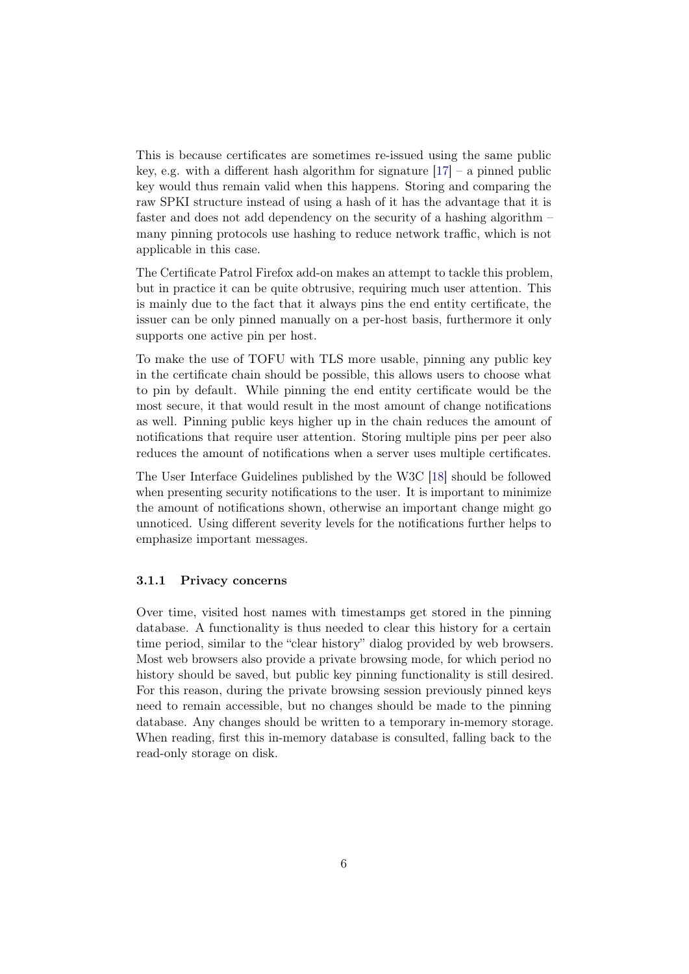This is because certificates are sometimes re-issued using the same public key, e.g. with a different hash algorithm for signature  $[17]$  – a pinned public key would thus remain valid when this happens. Storing and comparing the raw SPKI structure instead of using a hash of it has the advantage that it is faster and does not add dependency on the security of a hashing algorithm – many pinning protocols use hashing to reduce network traffic, which is not applicable in this case.

The Certificate Patrol Firefox add-on makes an attempt to tackle this problem, but in practice it can be quite obtrusive, requiring much user attention. This is mainly due to the fact that it always pins the end entity certificate, the issuer can be only pinned manually on a per-host basis, furthermore it only supports one active pin per host.

To make the use of TOFU with TLS more usable, pinning any public key in the certificate chain should be possible, this allows users to choose what to pin by default. While pinning the end entity certificate would be the most secure, it that would result in the most amount of change notifications as well. Pinning public keys higher up in the chain reduces the amount of notifications that require user attention. Storing multiple pins per peer also reduces the amount of notifications when a server uses multiple certificates.

The User Interface Guidelines published by the W3C [\[18\]](#page-12-17) should be followed when presenting security notifications to the user. It is important to minimize the amount of notifications shown, otherwise an important change might go unnoticed. Using different severity levels for the notifications further helps to emphasize important messages.

#### 3.1.1 Privacy concerns

Over time, visited host names with timestamps get stored in the pinning database. A functionality is thus needed to clear this history for a certain time period, similar to the "clear history" dialog provided by web browsers. Most web browsers also provide a private browsing mode, for which period no history should be saved, but public key pinning functionality is still desired. For this reason, during the private browsing session previously pinned keys need to remain accessible, but no changes should be made to the pinning database. Any changes should be written to a temporary in-memory storage. When reading, first this in-memory database is consulted, falling back to the read-only storage on disk.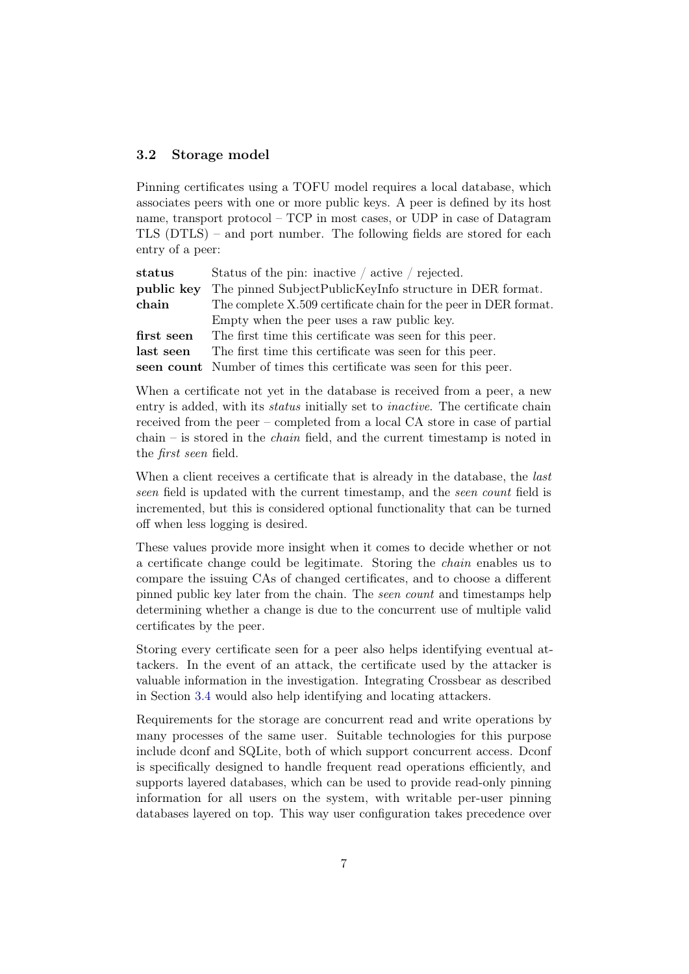### 3.2 Storage model

Pinning certificates using a TOFU model requires a local database, which associates peers with one or more public keys. A peer is defined by its host name, transport protocol – TCP in most cases, or UDP in case of Datagram TLS (DTLS) – and port number. The following fields are stored for each entry of a peer:

| status     | Status of the pin: inactive $\frac{1}{2}$ active $\frac{1}{2}$ rejected. |
|------------|--------------------------------------------------------------------------|
| public key | The pinned SubjectPublicKeyInfo structure in DER format.                 |
| chain      | The complete X.509 certificate chain for the peer in DER format.         |
|            | Empty when the peer uses a raw public key.                               |
| first seen | The first time this certificate was seen for this peer.                  |
| last seen  | The first time this certificate was seen for this peer.                  |
|            | seen count Number of times this certificate was seen for this peer.      |

When a certificate not yet in the database is received from a peer, a new entry is added, with its *status* initially set to *inactive*. The certificate chain received from the peer – completed from a local CA store in case of partial chain – is stored in the *chain* field, and the current timestamp is noted in the first seen field.

When a client receives a certificate that is already in the database, the *last* seen field is updated with the current timestamp, and the seen count field is incremented, but this is considered optional functionality that can be turned off when less logging is desired.

These values provide more insight when it comes to decide whether or not a certificate change could be legitimate. Storing the chain enables us to compare the issuing CAs of changed certificates, and to choose a different pinned public key later from the chain. The seen count and timestamps help determining whether a change is due to the concurrent use of multiple valid certificates by the peer.

Storing every certificate seen for a peer also helps identifying eventual attackers. In the event of an attack, the certificate used by the attacker is valuable information in the investigation. Integrating Crossbear as described in Section [3.4](#page-7-0) would also help identifying and locating attackers.

Requirements for the storage are concurrent read and write operations by many processes of the same user. Suitable technologies for this purpose include dconf and SQLite, both of which support concurrent access. Dconf is specifically designed to handle frequent read operations efficiently, and supports layered databases, which can be used to provide read-only pinning information for all users on the system, with writable per-user pinning databases layered on top. This way user configuration takes precedence over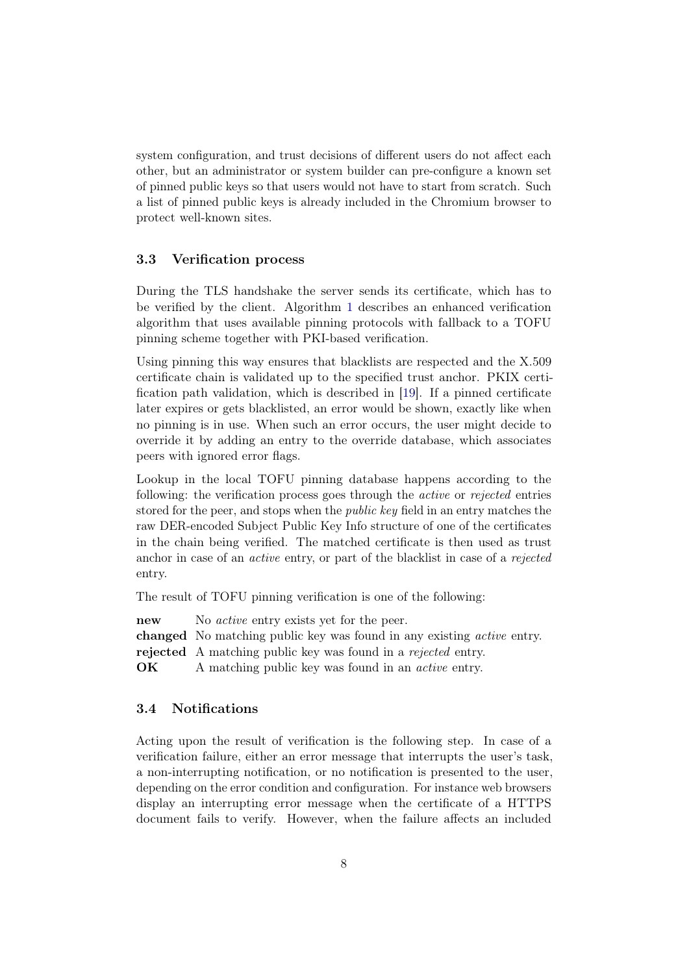system configuration, and trust decisions of different users do not affect each other, but an administrator or system builder can pre-configure a known set of pinned public keys so that users would not have to start from scratch. Such a list of pinned public keys is already included in the Chromium browser to protect well-known sites.

### 3.3 Verification process

During the TLS handshake the server sends its certificate, which has to be verified by the client. Algorithm [1](#page-7-1) describes an enhanced verification algorithm that uses available pinning protocols with fallback to a TOFU pinning scheme together with PKI-based verification.

Using pinning this way ensures that blacklists are respected and the X.509 certificate chain is validated up to the specified trust anchor. PKIX certification path validation, which is described in [\[19\]](#page-13-0). If a pinned certificate later expires or gets blacklisted, an error would be shown, exactly like when no pinning is in use. When such an error occurs, the user might decide to override it by adding an entry to the override database, which associates peers with ignored error flags.

Lookup in the local TOFU pinning database happens according to the following: the verification process goes through the active or rejected entries stored for the peer, and stops when the public key field in an entry matches the raw DER-encoded Subject Public Key Info structure of one of the certificates in the chain being verified. The matched certificate is then used as trust anchor in case of an active entry, or part of the blacklist in case of a rejected entry.

The result of TOFU pinning verification is one of the following:

new No *active* entry exists yet for the peer.

changed No matching public key was found in any existing active entry.

rejected A matching public key was found in a rejected entry.

<span id="page-7-1"></span>**OK** A matching public key was found in an *active* entry.

### <span id="page-7-0"></span>3.4 Notifications

Acting upon the result of verification is the following step. In case of a verification failure, either an error message that interrupts the user's task, a non-interrupting notification, or no notification is presented to the user, depending on the error condition and configuration. For instance web browsers display an interrupting error message when the certificate of a HTTPS document fails to verify. However, when the failure affects an included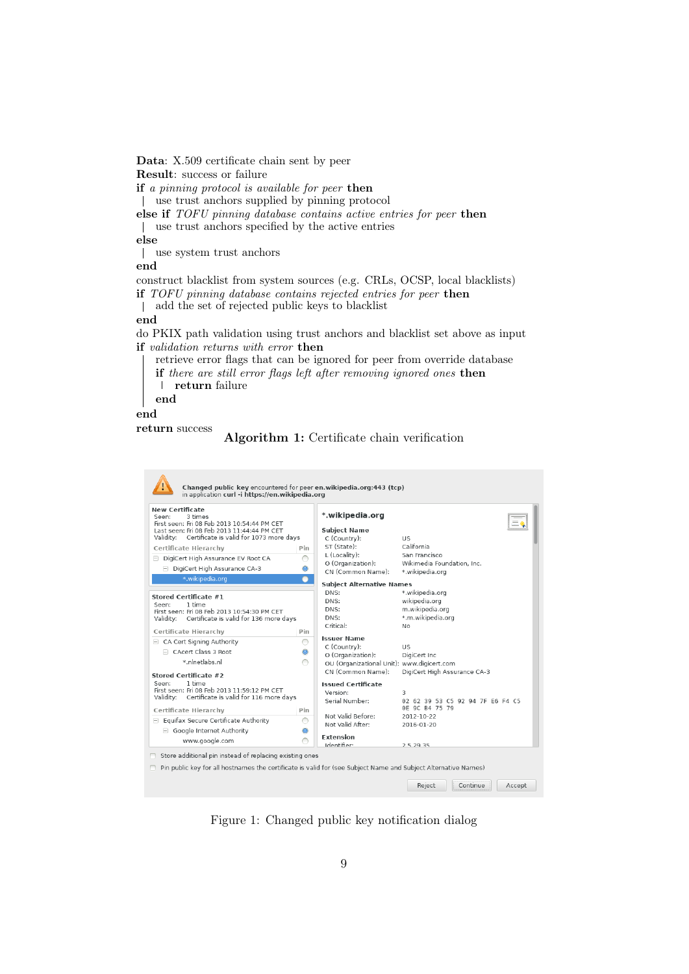Data: X.509 certificate chain sent by peer

Result: success or failure

if a pinning protocol is available for peer then use trust anchors supplied by pinning protocol

else if TOFU pinning database contains active entries for peer then use trust anchors specified by the active entries

else

use system trust anchors

end

construct blacklist from system sources (e.g. CRLs, OCSP, local blacklists)

if TOFU pinning database contains rejected entries for peer then

add the set of rejected public keys to blacklist  $\perp$ 

#### end

do PKIX path validation using trust anchors and blacklist set above as input if validation returns with error then

retrieve error flags that can be ignored for peer from override database if there are still error flags left after removing ignored ones then

 $\mathbf{I}$ return failure

end

end

return success





<span id="page-8-0"></span>Figure 1: Changed public key notification dialog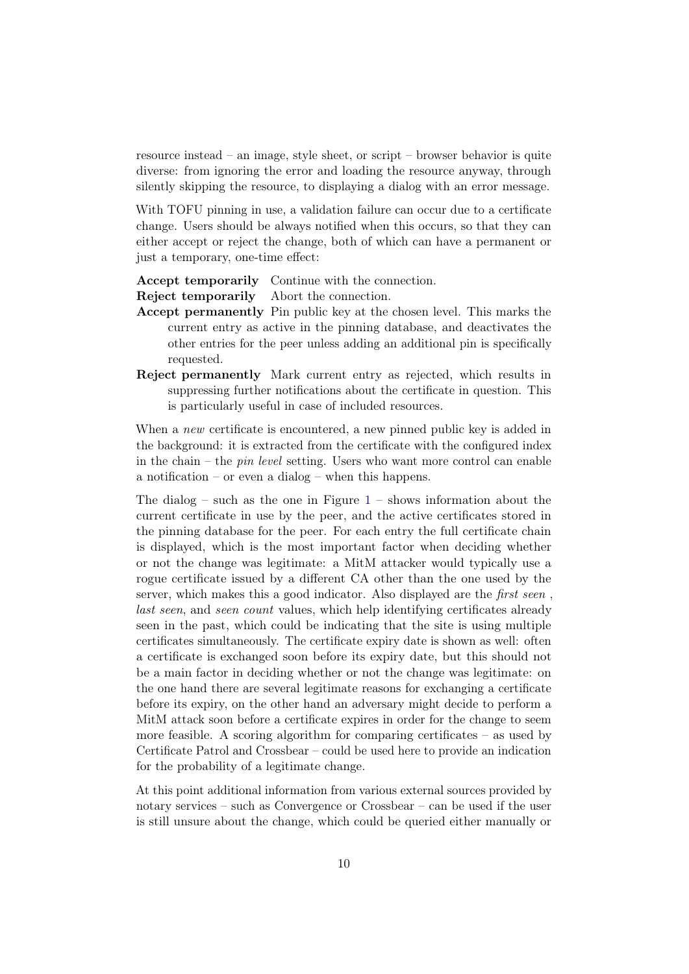resource instead – an image, style sheet, or script – browser behavior is quite diverse: from ignoring the error and loading the resource anyway, through silently skipping the resource, to displaying a dialog with an error message.

With TOFU pinning in use, a validation failure can occur due to a certificate change. Users should be always notified when this occurs, so that they can either accept or reject the change, both of which can have a permanent or just a temporary, one-time effect:

Accept temporarily Continue with the connection.

Reject temporarily Abort the connection.

- Accept permanently Pin public key at the chosen level. This marks the current entry as active in the pinning database, and deactivates the other entries for the peer unless adding an additional pin is specifically requested.
- Reject permanently Mark current entry as rejected, which results in suppressing further notifications about the certificate in question. This is particularly useful in case of included resources.

When a *new* certificate is encountered, a new pinned public key is added in the background: it is extracted from the certificate with the configured index in the chain – the pin level setting. Users who want more control can enable a notification – or even a dialog – when this happens.

The dialog – such as the one in Figure  $1$  – shows information about the current certificate in use by the peer, and the active certificates stored in the pinning database for the peer. For each entry the full certificate chain is displayed, which is the most important factor when deciding whether or not the change was legitimate: a MitM attacker would typically use a rogue certificate issued by a different CA other than the one used by the server, which makes this a good indicator. Also displayed are the first seen , last seen, and seen count values, which help identifying certificates already seen in the past, which could be indicating that the site is using multiple certificates simultaneously. The certificate expiry date is shown as well: often a certificate is exchanged soon before its expiry date, but this should not be a main factor in deciding whether or not the change was legitimate: on the one hand there are several legitimate reasons for exchanging a certificate before its expiry, on the other hand an adversary might decide to perform a MitM attack soon before a certificate expires in order for the change to seem more feasible. A scoring algorithm for comparing certificates  $-$  as used by Certificate Patrol and Crossbear – could be used here to provide an indication for the probability of a legitimate change.

At this point additional information from various external sources provided by notary services – such as Convergence or Crossbear – can be used if the user is still unsure about the change, which could be queried either manually or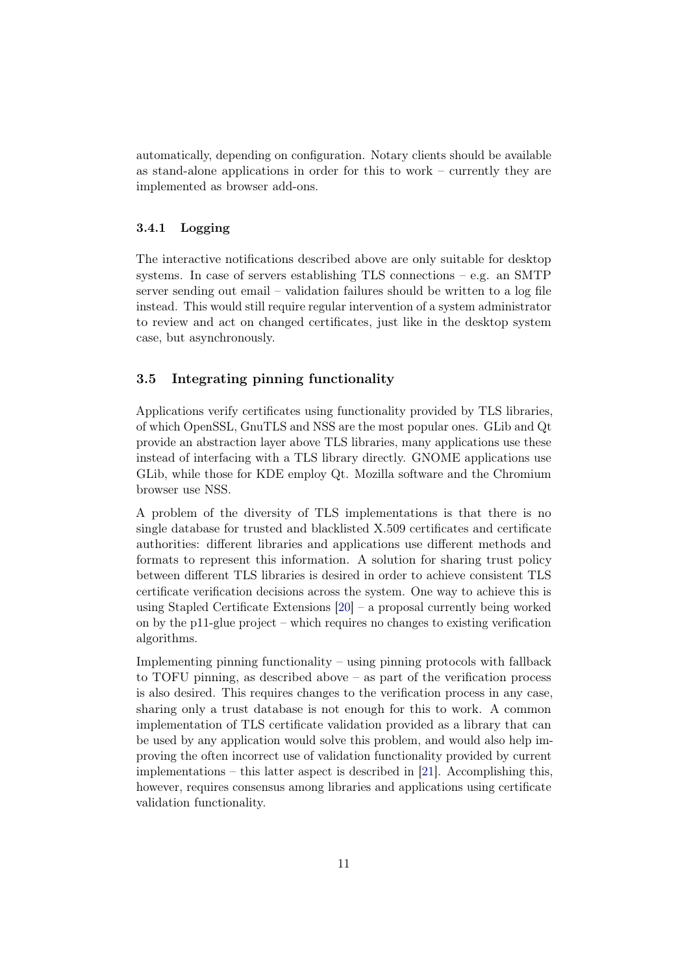automatically, depending on configuration. Notary clients should be available as stand-alone applications in order for this to work – currently they are implemented as browser add-ons.

# 3.4.1 Logging

The interactive notifications described above are only suitable for desktop systems. In case of servers establishing TLS connections  $-$  e.g. an SMTP server sending out email – validation failures should be written to a log file instead. This would still require regular intervention of a system administrator to review and act on changed certificates, just like in the desktop system case, but asynchronously.

# 3.5 Integrating pinning functionality

Applications verify certificates using functionality provided by TLS libraries, of which OpenSSL, GnuTLS and NSS are the most popular ones. GLib and Qt provide an abstraction layer above TLS libraries, many applications use these instead of interfacing with a TLS library directly. GNOME applications use GLib, while those for KDE employ Qt. Mozilla software and the Chromium browser use NSS.

A problem of the diversity of TLS implementations is that there is no single database for trusted and blacklisted X.509 certificates and certificate authorities: different libraries and applications use different methods and formats to represent this information. A solution for sharing trust policy between different TLS libraries is desired in order to achieve consistent TLS certificate verification decisions across the system. One way to achieve this is using Stapled Certificate Extensions [\[20\]](#page-13-1) – a proposal currently being worked on by the p11-glue project – which requires no changes to existing verification algorithms.

Implementing pinning functionality – using pinning protocols with fallback to TOFU pinning, as described above – as part of the verification process is also desired. This requires changes to the verification process in any case, sharing only a trust database is not enough for this to work. A common implementation of TLS certificate validation provided as a library that can be used by any application would solve this problem, and would also help improving the often incorrect use of validation functionality provided by current implementations – this latter aspect is described in [\[21\]](#page-13-2). Accomplishing this, however, requires consensus among libraries and applications using certificate validation functionality.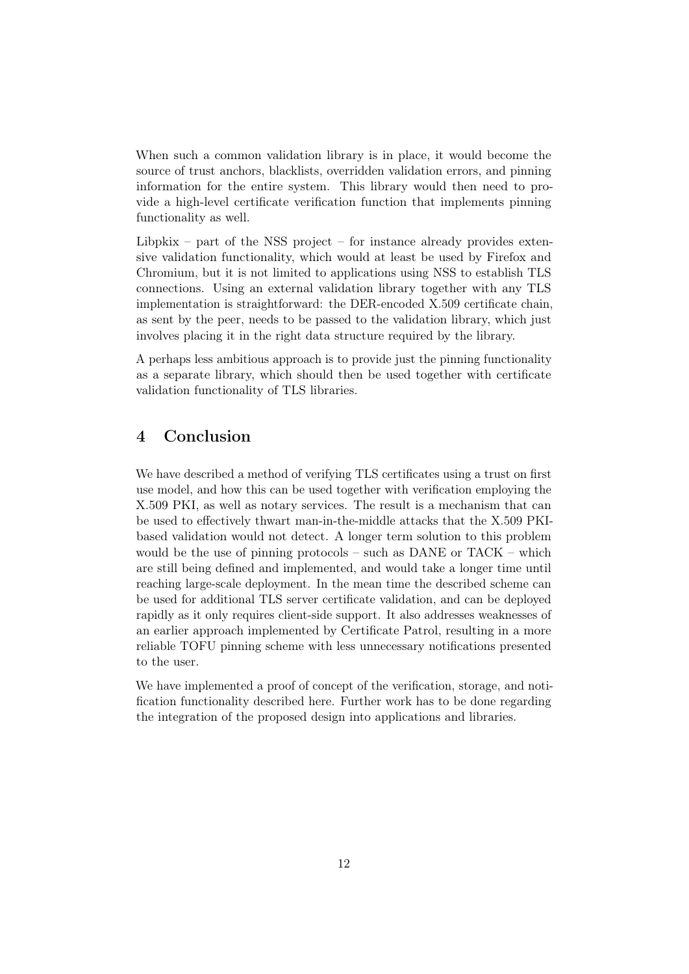When such a common validation library is in place, it would become the source of trust anchors, blacklists, overridden validation errors, and pinning information for the entire system. This library would then need to provide a high-level certificate verification function that implements pinning functionality as well.

Libpkix – part of the NSS project – for instance already provides extensive validation functionality, which would at least be used by Firefox and Chromium, but it is not limited to applications using NSS to establish TLS connections. Using an external validation library together with any TLS implementation is straightforward: the DER-encoded X.509 certificate chain, as sent by the peer, needs to be passed to the validation library, which just involves placing it in the right data structure required by the library.

A perhaps less ambitious approach is to provide just the pinning functionality as a separate library, which should then be used together with certificate validation functionality of TLS libraries.

# 4 Conclusion

We have described a method of verifying TLS certificates using a trust on first use model, and how this can be used together with verification employing the X.509 PKI, as well as notary services. The result is a mechanism that can be used to effectively thwart man-in-the-middle attacks that the X.509 PKIbased validation would not detect. A longer term solution to this problem would be the use of pinning protocols – such as DANE or TACK – which are still being defined and implemented, and would take a longer time until reaching large-scale deployment. In the mean time the described scheme can be used for additional TLS server certificate validation, and can be deployed rapidly as it only requires client-side support. It also addresses weaknesses of an earlier approach implemented by Certificate Patrol, resulting in a more reliable TOFU pinning scheme with less unnecessary notifications presented to the user.

We have implemented a proof of concept of the verification, storage, and notification functionality described here. Further work has to be done regarding the integration of the proposed design into applications and libraries.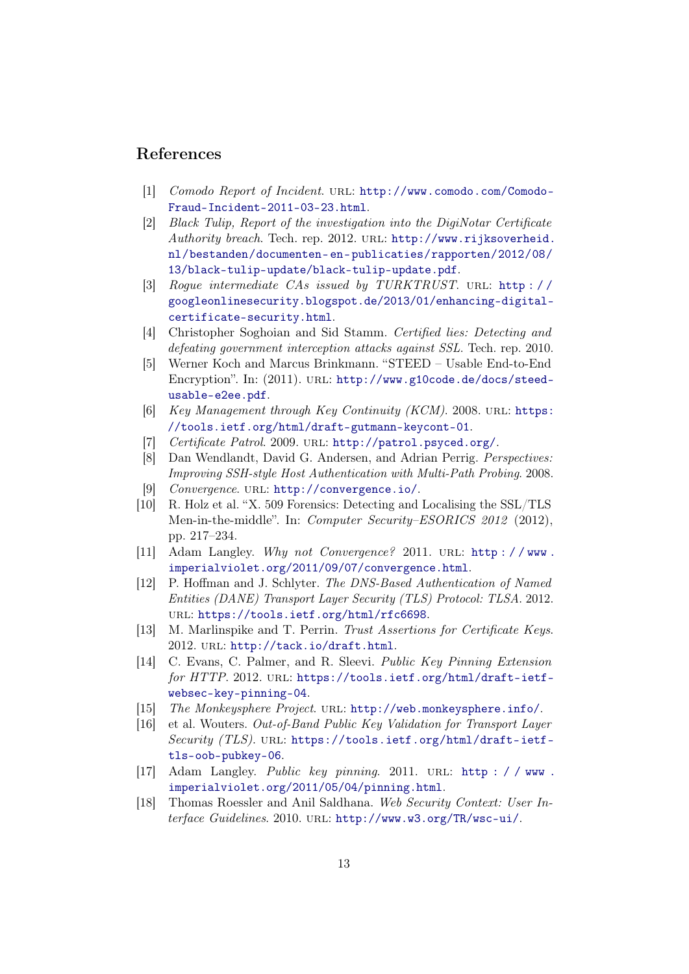# References

- <span id="page-12-0"></span>[1] Comodo Report of Incident. URL: [http://www.comodo.com/Comodo-](http://www.comodo.com/Comodo-Fraud-Incident-2011-03-23.html)[Fraud-Incident-2011-03-23.html](http://www.comodo.com/Comodo-Fraud-Incident-2011-03-23.html).
- <span id="page-12-1"></span>[2] Black Tulip, Report of the investigation into the DigiNotar Certificate Authority breach. Tech. rep. 2012. URL: [http://www.rijksoverheid.](http://www.rijksoverheid.nl/bestanden/documenten-en-publicaties/rapporten/2012/08/13/black-tulip-update/black-tulip-update.pdf) [nl/bestanden/documenten- en- publicaties/rapporten/2012/08/](http://www.rijksoverheid.nl/bestanden/documenten-en-publicaties/rapporten/2012/08/13/black-tulip-update/black-tulip-update.pdf) [13/black-tulip-update/black-tulip-update.pdf](http://www.rijksoverheid.nl/bestanden/documenten-en-publicaties/rapporten/2012/08/13/black-tulip-update/black-tulip-update.pdf).
- <span id="page-12-2"></span>[3] Rogue intermediate CAs issued by TURKTRUST. URL: http:// [googleonlinesecurity.blogspot.de/2013/01/enhancing-digital](http://googleonlinesecurity.blogspot.de/2013/01/enhancing-digital-certificate-security.html)[certificate-security.html](http://googleonlinesecurity.blogspot.de/2013/01/enhancing-digital-certificate-security.html).
- <span id="page-12-3"></span>[4] Christopher Soghoian and Sid Stamm. Certified lies: Detecting and defeating government interception attacks against SSL. Tech. rep. 2010.
- <span id="page-12-4"></span>[5] Werner Koch and Marcus Brinkmann. "STEED – Usable End-to-End Encryption". In: (2011). URL: [http://www.g10code.de/docs/steed](http://www.g10code.de/docs/steed-usable-e2ee.pdf)[usable-e2ee.pdf](http://www.g10code.de/docs/steed-usable-e2ee.pdf).
- <span id="page-12-5"></span>[6] Key Management through Key Continuity (KCM). 2008. URL: [https:](https://tools.ietf.org/html/draft-gutmann-keycont-01) [//tools.ietf.org/html/draft-gutmann-keycont-01](https://tools.ietf.org/html/draft-gutmann-keycont-01).
- <span id="page-12-6"></span>[7] Certificate Patrol. 2009. url: <http://patrol.psyced.org/>.
- <span id="page-12-7"></span>[8] Dan Wendlandt, David G. Andersen, and Adrian Perrig. Perspectives: Improving SSH-style Host Authentication with Multi-Path Probing. 2008.
- <span id="page-12-8"></span>[9] Convergence. URL: <http://convergence.io/>.
- <span id="page-12-9"></span>[10] R. Holz et al. "X. 509 Forensics: Detecting and Localising the SSL/TLS Men-in-the-middle". In: Computer Security–ESORICS 2012 (2012), pp. 217–234.
- <span id="page-12-10"></span>[11] Adam Langley. Why not Convergence? 2011. URL: http://www. [imperialviolet.org/2011/09/07/convergence.html](http://www.imperialviolet.org/2011/09/07/convergence.html).
- <span id="page-12-11"></span>[12] P. Hoffman and J. Schlyter. The DNS-Based Authentication of Named Entities (DANE) Transport Layer Security (TLS) Protocol: TLSA. 2012. url: <https://tools.ietf.org/html/rfc6698>.
- <span id="page-12-12"></span>[13] M. Marlinspike and T. Perrin. Trust Assertions for Certificate Keys. 2012. url: <http://tack.io/draft.html>.
- <span id="page-12-13"></span>[14] C. Evans, C. Palmer, and R. Sleevi. Public Key Pinning Extension for HTTP. 2012. URL: [https://tools.ietf.org/html/draft-ietf](https://tools.ietf.org/html/draft-ietf-websec-key-pinning-04)[websec-key-pinning-04](https://tools.ietf.org/html/draft-ietf-websec-key-pinning-04).
- <span id="page-12-14"></span>[15] The Monkeysphere Project. URL: <http://web.monkeysphere.info/>.
- <span id="page-12-15"></span>[16] et al. Wouters. Out-of-Band Public Key Validation for Transport Layer Security (TLS). URL: [https://tools.ietf.org/html/draft-ietf](https://tools.ietf.org/html/draft-ietf-tls-oob-pubkey-06)[tls-oob-pubkey-06](https://tools.ietf.org/html/draft-ietf-tls-oob-pubkey-06).
- <span id="page-12-16"></span>[17] Adam Langley. *Public key pinning*. 2011. URL: http://www. [imperialviolet.org/2011/05/04/pinning.html](http://www.imperialviolet.org/2011/05/04/pinning.html).
- <span id="page-12-17"></span>[18] Thomas Roessler and Anil Saldhana. Web Security Context: User Interface Guidelines. 2010. URL: <http://www.w3.org/TR/wsc-ui/>.